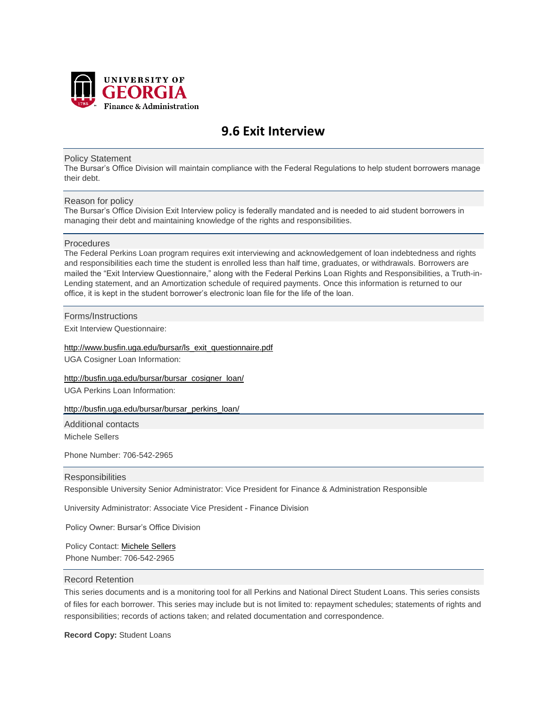

# **9.6 Exit Interview**

#### Policy Statement

The Bursar's Office Division will maintain compliance with the Federal Regulations to help student borrowers manage their debt.

## Reason for policy

The Bursar's Office Division Exit Interview policy is federally mandated and is needed to aid student borrowers in managing their debt and maintaining knowledge of the rights and responsibilities.

#### Procedures

The Federal Perkins Loan program requires exit interviewing and acknowledgement of loan indebtedness and rights and responsibilities each time the student is enrolled less than half time, graduates, or withdrawals. Borrowers are mailed the "Exit Interview Questionnaire," along with the Federal Perkins Loan Rights and Responsibilities, a Truth-in-Lending statement, and an Amortization schedule of required payments. Once this information is returned to our office, it is kept in the student borrower's electronic loan file for the life of the loan.

## Forms/Instructions

Exit Interview Questionnaire:

#### [http://www.busfin.uga.edu/bursar/ls\\_exit\\_questionnaire.pdf](http://www.busfin.uga.edu/bursar/ls_exit_questionnaire.pdf)

UGA Cosigner Loan Information:

[http://busfin.uga.edu/bursar/bursar\\_cosigner\\_loan/](http://busfin.uga.edu/bursar/bursar_cosigner_loan/) UGA Perkins Loan Information:

#### [http://busfin.uga.edu/bursar/bursar\\_perkins\\_loan/](http://busfin.uga.edu/bursar/bursar_perkins_loan/)

Additional contacts

Michele Sellers

Phone Number: 706-542-2965

# **Responsibilities**

Responsible University Senior Administrator: Vice President for Finance & Administration Responsible

University Administrator: Associate Vice President - Finance Division

Policy Owner: Bursar's Office Division

Policy Contact: Mich[ele Sellers](mailto:amsell@uga.edu)  Phone Number: 706-542-2965

## Record Retention

This series documents and is a monitoring tool for all Perkins and National Direct Student Loans. This series consists of files for each borrower. This series may include but is not limited to: repayment schedules; statements of rights and responsibilities; records of actions taken; and related documentation and correspondence.

**Record Copy:** Student Loans